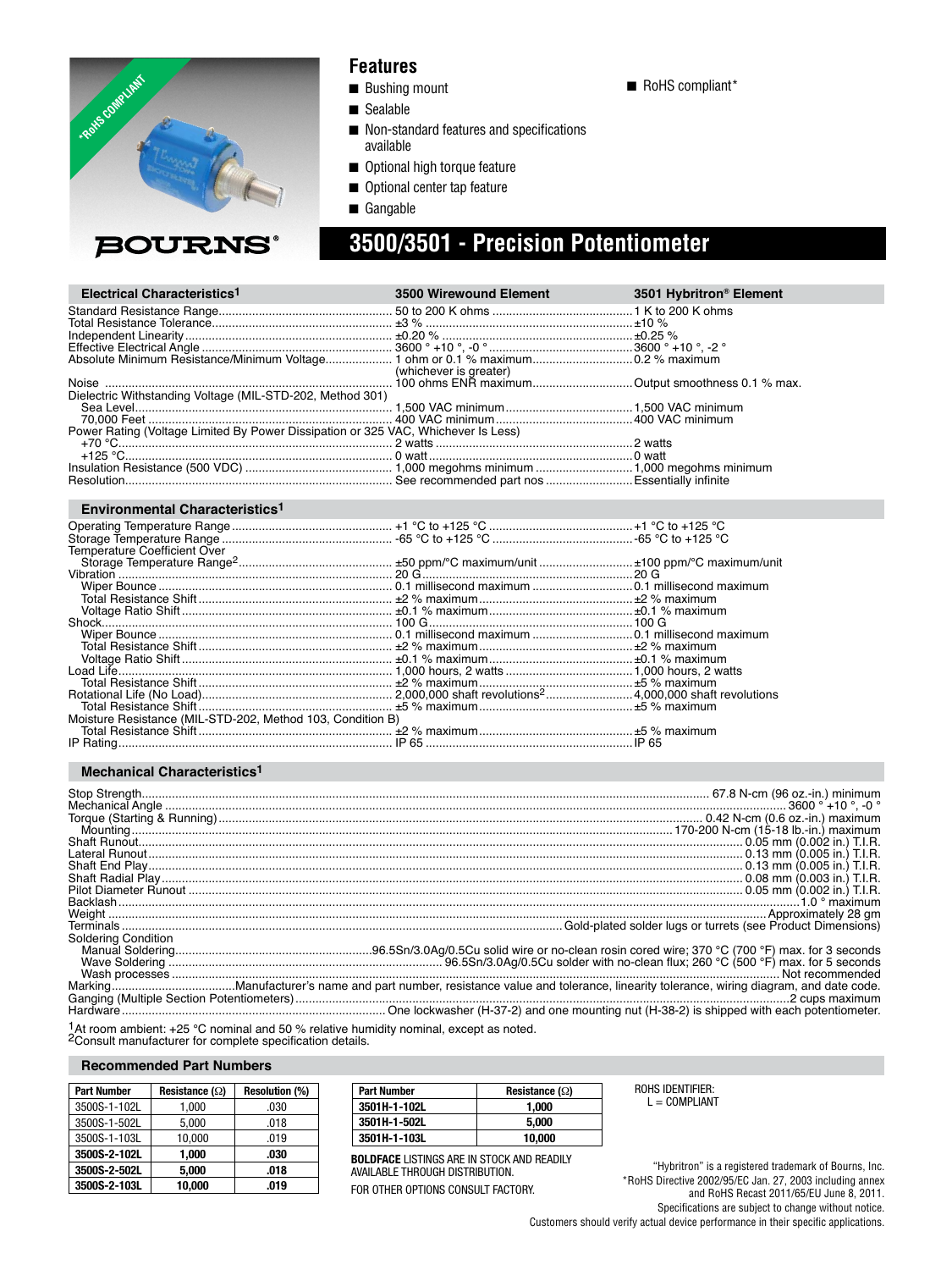

### **Features**

- Bushing mount
- Sealable
- Non-standard features and specifications available
- Optional high torque feature
- Optional center tap feature
- Gangable

## **BOURNS®**

# **3500/3501 - Precision Potentiometer**

■ RoHS compliant\*

| <b>Electrical Characteristics<sup>1</sup></b>                                     | 3500 Wirewound Element | 3501 Hybritron <sup>®</sup> Element |  |
|-----------------------------------------------------------------------------------|------------------------|-------------------------------------|--|
|                                                                                   |                        |                                     |  |
|                                                                                   |                        |                                     |  |
|                                                                                   |                        |                                     |  |
|                                                                                   |                        |                                     |  |
|                                                                                   |                        |                                     |  |
|                                                                                   | (whichever is greater) |                                     |  |
|                                                                                   |                        |                                     |  |
| Dielectric Withstanding Voltage (MIL-STD-202, Method 301)                         |                        |                                     |  |
|                                                                                   |                        |                                     |  |
|                                                                                   |                        |                                     |  |
| Power Rating (Voltage Limited By Power Dissipation or 325 VAC, Whichever Is Less) |                        |                                     |  |
|                                                                                   |                        |                                     |  |
|                                                                                   |                        |                                     |  |
|                                                                                   |                        |                                     |  |
|                                                                                   |                        |                                     |  |

#### **Environmental Characteristics1**

| Temperature Coefficient Over                               |  |
|------------------------------------------------------------|--|
|                                                            |  |
|                                                            |  |
|                                                            |  |
|                                                            |  |
|                                                            |  |
|                                                            |  |
|                                                            |  |
|                                                            |  |
|                                                            |  |
|                                                            |  |
|                                                            |  |
|                                                            |  |
|                                                            |  |
| Moisture Resistance (MIL-STD-202, Method 103, Condition B) |  |
|                                                            |  |
|                                                            |  |

#### **Mechanical Characteristics1**

| Soldering Condition |                                                                                              |
|---------------------|----------------------------------------------------------------------------------------------|
|                     |                                                                                              |
|                     |                                                                                              |
|                     |                                                                                              |
|                     |                                                                                              |
|                     |                                                                                              |
| Hardware            | One lockwasher $(H-37-2)$ and ane mounting nut $(H-38-2)$ is shipped with each potentiometer |

Hardware ............................................................................... One lockwasher (H-37-2) and one mounting nut (H-38-2) is shipped with each potentiometer. 1At room ambient: +25 °C nominal and 50 % relative humidity nominal, except as noted.<br><sup>2</sup>Consult manufacturer for complete specification details.

#### **Recommended Part Numbers**

| <b>Part Number</b> | Resistance $(\Omega)$ | <b>Resolution (%)</b> |
|--------------------|-----------------------|-----------------------|
| 3500S-1-102L       | 1.000                 | .030                  |
| 3500S-1-502L       | 5,000                 | .018                  |
| 3500S-1-103L       | 10.000                | .019                  |
| 3500S-2-102L       | 1.000                 | .030                  |
| 3500S-2-502L       | 5,000                 | .018                  |
| 3500S-2-103L       | 10.000                | .019                  |

| <b>Part Number</b> | Resistance $(\Omega)$ |
|--------------------|-----------------------|
| 3501H-1-102L       | 1.000                 |
| 3501H-1-502L       | 5.000                 |
| 3501H-1-103L       | 10.000                |

**BOLDFACE** LISTINGS ARE IN STOCK AND READILY AVAILABLE THROUGH DISTRIBUTION. FOR OTHER OPTIONS CONSULT FACTORY.

ROHS IDENTIFIER:  $L =$  COMPLIANT

"Hybritron" is a registered trademark of Bourns, Inc. \*RoHS Directive 2002/95/EC Jan. 27, 2003 including annex and RoHS Recast 2011/65/EU June 8, 2011. Specifications are subject to change without notice.

Customers should verify actual device performance in their specific applications.